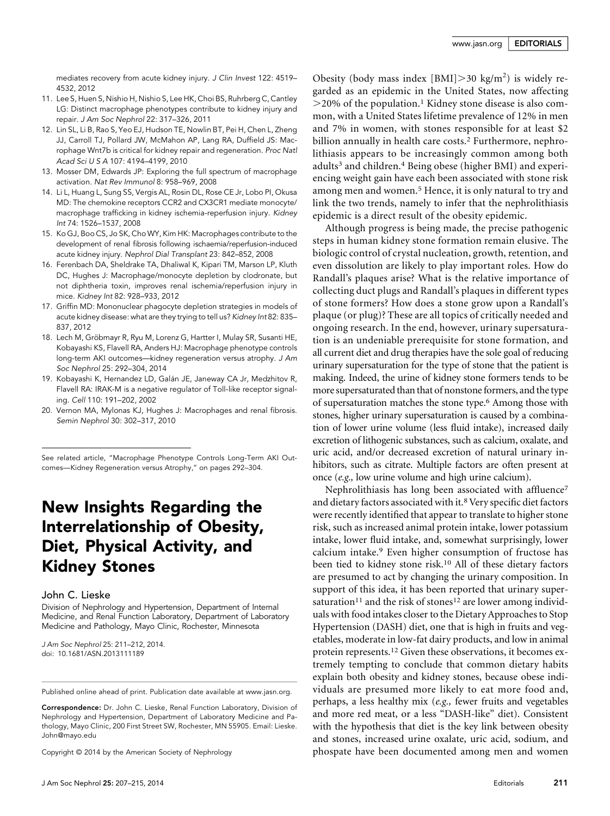mediates recovery from acute kidney injury. J Clin Invest 122: 4519– 4532, 2012

- 11. Lee S, Huen S, Nishio H, Nishio S, Lee HK, Choi BS, Ruhrberg C, Cantley LG: Distinct macrophage phenotypes contribute to kidney injury and repair. J Am Soc Nephrol 22: 317–326, 2011
- 12. Lin SL, Li B, Rao S, Yeo EJ, Hudson TE, Nowlin BT, Pei H, Chen L, Zheng JJ, Carroll TJ, Pollard JW, McMahon AP, Lang RA, Duffield JS: Macrophage Wnt7b is critical for kidney repair and regeneration. Proc Natl Acad Sci U S A 107: 4194–4199, 2010
- 13. Mosser DM, Edwards JP: Exploring the full spectrum of macrophage activation. Nat Rev Immunol 8: 958–969, 2008
- 14. Li L, Huang L, Sung SS, Vergis AL, Rosin DL, Rose CE Jr, Lobo PI, Okusa MD: The chemokine receptors CCR2 and CX3CR1 mediate monocyte/ macrophage trafficking in kidney ischemia-reperfusion injury. Kidney Int 74: 1526–1537, 2008
- 15. Ko GJ, Boo CS, Jo SK, Cho WY, Kim HK: Macrophages contribute to the development of renal fibrosis following ischaemia/reperfusion-induced acute kidney injury. Nephrol Dial Transplant 23: 842–852, 2008
- 16. Ferenbach DA, Sheldrake TA, Dhaliwal K, Kipari TM, Marson LP, Kluth DC, Hughes J: Macrophage/monocyte depletion by clodronate, but not diphtheria toxin, improves renal ischemia/reperfusion injury in mice. Kidney Int 82: 928–933, 2012
- 17. Griffin MD: Mononuclear phagocyte depletion strategies in models of acute kidney disease: what are they trying to tell us? Kidney Int 82: 835– 837, 2012
- 18. Lech M, Gröbmayr R, Ryu M, Lorenz G, Hartter I, Mulay SR, Susanti HE, Kobayashi KS, Flavell RA, Anders HJ: Macrophage phenotype controls long-term AKI outcomes—kidney regeneration versus atrophy. J Am Soc Nephrol 25: 292–304, 2014
- 19. Kobayashi K, Hernandez LD, Galán JE, Janeway CA Jr, Medzhitov R, Flavell RA: IRAK-M is a negative regulator of Toll-like receptor signaling. Cell 110: 191–202, 2002
- 20. Vernon MA, Mylonas KJ, Hughes J: Macrophages and renal fibrosis. Semin Nephrol 30: 302–317, 2010

See related article, "Macrophage Phenotype Controls Long-Term AKI Outcomes—Kidney Regeneration versus Atrophy," on pages 292–304.

# New Insights Regarding the Interrelationship of Obesity, Diet, Physical Activity, and Kidney Stones

## John C. Lieske

Division of Nephrology and Hypertension, Department of Internal Medicine, and Renal Function Laboratory, Department of Laboratory Medicine and Pathology, Mayo Clinic, Rochester, Minnesota

J Am Soc Nephrol 25: 211–212, 2014. doi: 10.1681/ASN.2013111189

Published online ahead of print. Publication date available at [www.jasn.org](http://www.jasn.org).

Correspondence: Dr. John C. Lieske, Renal Function Laboratory, Division of Nephrology and Hypertension, Department of Laboratory Medicine and Pathology, Mayo Clinic, 200 First Street SW, Rochester, MN 55905. Email: [Lieske.](mailto:Lieske.John@mayo.edu) [John@mayo.edu](mailto:Lieske.John@mayo.edu)

Copyright © 2014 by the American Society of Nephrology

Obesity (body mass index  $[BMI] > 30$  kg/m<sup>2</sup>) is widely regarded as an epidemic in the United States, now affecting .20% of the population.1 Kidney stone disease is also common, with a United States lifetime prevalence of 12% in men and 7% in women, with stones responsible for at least \$2 billion annually in health care costs.<sup>2</sup> Furthermore, nephrolithiasis appears to be increasingly common among both adults<sup>3</sup> and children.<sup>4</sup> Being obese (higher BMI) and experiencing weight gain have each been associated with stone risk among men and women.<sup>5</sup> Hence, it is only natural to try and link the two trends, namely to infer that the nephrolithiasis epidemic is a direct result of the obesity epidemic.

Although progress is being made, the precise pathogenic steps in human kidney stone formation remain elusive. The biologic control of crystal nucleation, growth, retention, and even dissolution are likely to play important roles. How do Randall's plaques arise? What is the relative importance of collecting duct plugs and Randall's plaques in different types of stone formers? How does a stone grow upon a Randall's plaque (or plug)? These are all topics of critically needed and ongoing research. In the end, however, urinary supersaturation is an undeniable prerequisite for stone formation, and all current diet and drug therapies have the sole goal of reducing urinary supersaturation for the type of stone that the patient is making. Indeed, the urine of kidney stone formers tends to be more supersaturated than that of nonstone formers, and the type of supersaturation matches the stone type.6 Among those with stones, higher urinary supersaturation is caused by a combination of lower urine volume (less fluid intake), increased daily excretion of lithogenic substances, such as calcium, oxalate, and uric acid, and/or decreased excretion of natural urinary inhibitors, such as citrate. Multiple factors are often present at once (e.g., low urine volume and high urine calcium).

Nephrolithiasis has long been associated with affluence<sup>7</sup> and dietary factors associated with it.<sup>8</sup> Very specific diet factors were recently identified that appear to translate to higher stone risk, such as increased animal protein intake, lower potassium intake, lower fluid intake, and, somewhat surprisingly, lower calcium intake.9 Even higher consumption of fructose has been tied to kidney stone risk.10 All of these dietary factors are presumed to act by changing the urinary composition. In support of this idea, it has been reported that urinary supersaturation<sup>11</sup> and the risk of stones<sup>12</sup> are lower among individuals with food intakes closer to the Dietary Approaches to Stop Hypertension (DASH) diet, one that is high in fruits and vegetables, moderate in low-fat dairy products, and low in animal protein represents.12 Given these observations, it becomes extremely tempting to conclude that common dietary habits explain both obesity and kidney stones, because obese individuals are presumed more likely to eat more food and, perhaps, a less healthy mix (e.g., fewer fruits and vegetables and more red meat, or a less "DASH-like" diet). Consistent with the hypothesis that diet is the key link between obesity and stones, increased urine oxalate, uric acid, sodium, and phospate have been documented among men and women